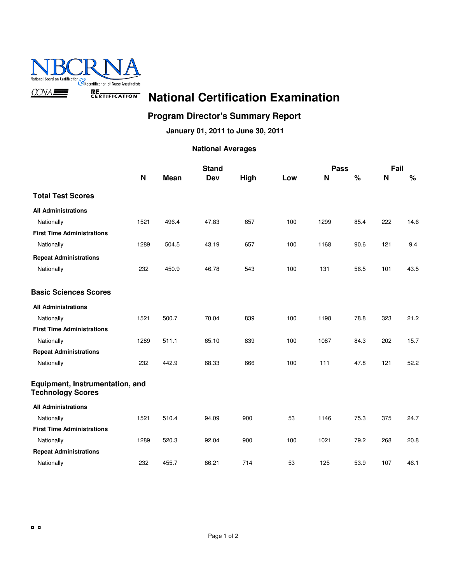

#### **Program Director's Summary Report**

**January 01, 2011 to June 30, 2011**

|                                                             |             |       | <b>Stand</b> |      |     | <b>Pass</b> |      | Fail |      |  |
|-------------------------------------------------------------|-------------|-------|--------------|------|-----|-------------|------|------|------|--|
|                                                             | $\mathbf N$ | Mean  | Dev          | High | Low | N           | $\%$ | N    | $\%$ |  |
| <b>Total Test Scores</b>                                    |             |       |              |      |     |             |      |      |      |  |
| <b>All Administrations</b>                                  |             |       |              |      |     |             |      |      |      |  |
| Nationally                                                  | 1521        | 496.4 | 47.83        | 657  | 100 | 1299        | 85.4 | 222  | 14.6 |  |
| <b>First Time Administrations</b>                           |             |       |              |      |     |             |      |      |      |  |
| Nationally                                                  | 1289        | 504.5 | 43.19        | 657  | 100 | 1168        | 90.6 | 121  | 9.4  |  |
| <b>Repeat Administrations</b>                               |             |       |              |      |     |             |      |      |      |  |
| Nationally                                                  | 232         | 450.9 | 46.78        | 543  | 100 | 131         | 56.5 | 101  | 43.5 |  |
| <b>Basic Sciences Scores</b>                                |             |       |              |      |     |             |      |      |      |  |
| <b>All Administrations</b>                                  |             |       |              |      |     |             |      |      |      |  |
| Nationally                                                  | 1521        | 500.7 | 70.04        | 839  | 100 | 1198        | 78.8 | 323  | 21.2 |  |
| <b>First Time Administrations</b>                           |             |       |              |      |     |             |      |      |      |  |
| Nationally                                                  | 1289        | 511.1 | 65.10        | 839  | 100 | 1087        | 84.3 | 202  | 15.7 |  |
| <b>Repeat Administrations</b>                               |             |       |              |      |     |             |      |      |      |  |
| Nationally                                                  | 232         | 442.9 | 68.33        | 666  | 100 | 111         | 47.8 | 121  | 52.2 |  |
| Equipment, Instrumentation, and<br><b>Technology Scores</b> |             |       |              |      |     |             |      |      |      |  |
| <b>All Administrations</b>                                  |             |       |              |      |     |             |      |      |      |  |
| Nationally                                                  | 1521        | 510.4 | 94.09        | 900  | 53  | 1146        | 75.3 | 375  | 24.7 |  |
| <b>First Time Administrations</b>                           |             |       |              |      |     |             |      |      |      |  |
| Nationally                                                  | 1289        | 520.3 | 92.04        | 900  | 100 | 1021        | 79.2 | 268  | 20.8 |  |
| <b>Repeat Administrations</b>                               |             |       |              |      |     |             |      |      |      |  |
| Nationally                                                  | 232         | 455.7 | 86.21        | 714  | 53  | 125         | 53.9 | 107  | 46.1 |  |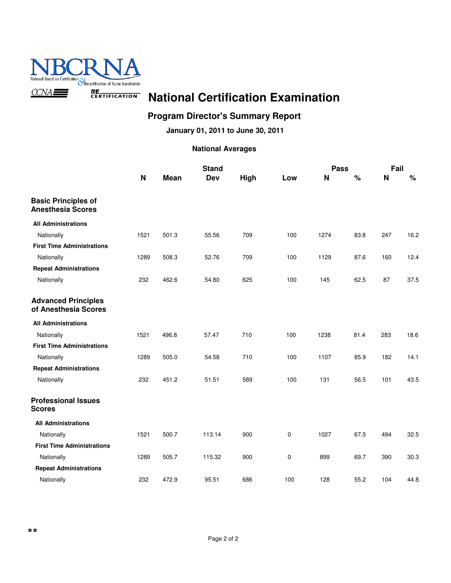

#### **Program Director's Summary Report**

**January 01, 2011 to June 30, 2011**

|                                                        |      |             | <b>Stand</b> |      |     | <b>Pass</b> |      | Fail |      |
|--------------------------------------------------------|------|-------------|--------------|------|-----|-------------|------|------|------|
|                                                        | N    | <b>Mean</b> | <b>Dev</b>   | High | Low | N           | $\%$ | N    | $\%$ |
| <b>Basic Principles of</b><br><b>Anesthesia Scores</b> |      |             |              |      |     |             |      |      |      |
| <b>All Administrations</b>                             |      |             |              |      |     |             |      |      |      |
| Nationally                                             | 1521 | 501.3       | 55.56        | 709  | 100 | 1274        | 83.8 | 247  | 16.2 |
| <b>First Time Administrations</b>                      |      |             |              |      |     |             |      |      |      |
| Nationally                                             | 1289 | 508.3       | 52.76        | 709  | 100 | 1129        | 87.6 | 160  | 12.4 |
| <b>Repeat Administrations</b>                          |      |             |              |      |     |             |      |      |      |
| Nationally                                             | 232  | 462.6       | 54.80        | 625  | 100 | 145         | 62.5 | 87   | 37.5 |
| <b>Advanced Principles</b><br>of Anesthesia Scores     |      |             |              |      |     |             |      |      |      |
| <b>All Administrations</b>                             |      |             |              |      |     |             |      |      |      |
| Nationally                                             | 1521 | 496.8       | 57.47        | 710  | 100 | 1238        | 81.4 | 283  | 18.6 |
| <b>First Time Administrations</b>                      |      |             |              |      |     |             |      |      |      |
| Nationally                                             | 1289 | 505.0       | 54.58        | 710  | 100 | 1107        | 85.9 | 182  | 14.1 |
| <b>Repeat Administrations</b>                          |      |             |              |      |     |             |      |      |      |
| Nationally                                             | 232  | 451.2       | 51.51        | 589  | 100 | 131         | 56.5 | 101  | 43.5 |
| <b>Professional Issues</b><br><b>Scores</b>            |      |             |              |      |     |             |      |      |      |
| <b>All Administrations</b>                             |      |             |              |      |     |             |      |      |      |
| Nationally                                             | 1521 | 500.7       | 113.14       | 900  | 0   | 1027        | 67.5 | 494  | 32.5 |
| <b>First Time Administrations</b>                      |      |             |              |      |     |             |      |      |      |
| Nationally                                             | 1289 | 505.7       | 115.32       | 900  | 0   | 899         | 69.7 | 390  | 30.3 |
| <b>Repeat Administrations</b>                          |      |             |              |      |     |             |      |      |      |
| Nationally                                             | 232  | 472.9       | 95.51        | 686  | 100 | 128         | 55.2 | 104  | 44.8 |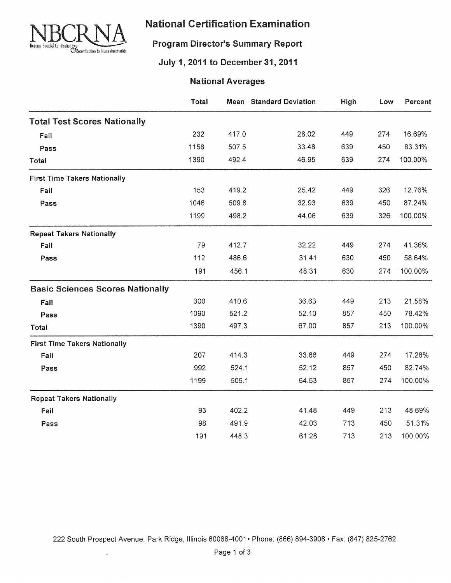

#### **Program Director's Summary Report**

### July 1, 2011 to December 31, 2011

|                                         | Total |       | <b>Mean</b> Standard Deviation | High | Low | Percent |
|-----------------------------------------|-------|-------|--------------------------------|------|-----|---------|
| <b>Total Test Scores Nationally</b>     |       |       |                                |      |     |         |
| Fail                                    | 232   | 417.0 | 28.02                          | 449  | 274 | 16.69%  |
| Pass                                    | 1158  | 507.5 | 33.48                          | 639  | 450 | 83.31%  |
| Total                                   | 1390  | 492.4 | 46.95                          | 639  | 274 | 100.00% |
| <b>First Time Takers Nationally</b>     |       |       |                                |      |     |         |
| Fail                                    | 153   | 419.2 | 25.42                          | 449  | 326 | 12.76%  |
| Pass                                    | 1046  | 509.8 | 32.93                          | 639  | 450 | 87.24%  |
|                                         | 1199  | 498.2 | 44.06                          | 639  | 326 | 100.00% |
| <b>Repeat Takers Nationally</b>         |       |       |                                |      |     |         |
| Fail                                    | 79    | 412.7 | 32.22                          | 449  | 274 | 41.36%  |
| Pass                                    | 112   | 486.6 | 31.41                          | 630  | 450 | 58.64%  |
|                                         | 191   | 456.1 | 48.31                          | 630  | 274 | 100.00% |
| <b>Basic Sciences Scores Nationally</b> |       |       |                                |      |     |         |
| Fail                                    | 300   | 410.6 | 36.63                          | 449  | 213 | 21.58%  |
| Pass                                    | 1090  | 521.2 | 52.10                          | 857  | 450 | 78.42%  |
| Total                                   | 1390  | 497.3 | 67.00                          | 857  | 213 | 100.00% |
| <b>First Time Takers Nationally</b>     |       |       |                                |      |     |         |
| Fail                                    | 207   | 414.3 | 33.66                          | 449  | 274 | 17.26%  |
| Pass                                    | 992   | 524.1 | 52.12                          | 857  | 450 | 82.74%  |
|                                         | 1199  | 505.1 | 64.53                          | 857  | 274 | 100.00% |
| <b>Repeat Takers Nationally</b>         |       |       |                                |      |     |         |
| Fail                                    | 93    | 402.2 | 41.48                          | 449  | 213 | 48.69%  |
| Pass                                    | 98    | 491.9 | 42.03                          | 713  | 450 | 51.31%  |
|                                         | 191   | 448.3 | 61.28                          | 713  | 213 | 100.00% |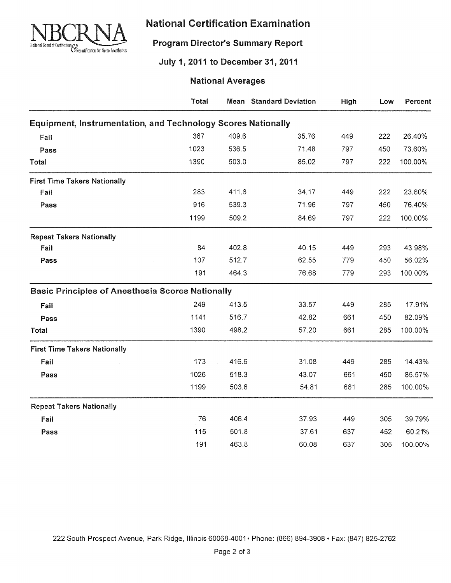

### **Program Director's Summary Report**

#### July 1, 2011 to December 31, 2011

|                                                                     | Total |       | <b>Mean</b> Standard Deviation | High | Low | Percent |
|---------------------------------------------------------------------|-------|-------|--------------------------------|------|-----|---------|
| <b>Equipment, Instrumentation, and Technology Scores Nationally</b> |       |       |                                |      |     |         |
| Fail                                                                | 367   | 409.6 | 35.76                          | 449  | 222 | 26.40%  |
| Pass                                                                | 1023  | 536.5 | 71.48                          | 797  | 450 | 73.60%  |
| Total                                                               | 1390  | 503.0 | 85.02                          | 797  | 222 | 100.00% |
| <b>First Time Takers Nationally</b>                                 |       |       |                                |      |     |         |
| Fail                                                                | 283   | 411.6 | 34.17                          | 449  | 222 | 23.60%  |
| Pass                                                                | 916   | 539.3 | 71.96                          | 797  | 450 | 76.40%  |
|                                                                     | 1199  | 509.2 | 84.69                          | 797  | 222 | 100.00% |
| <b>Repeat Takers Nationally</b>                                     |       |       |                                |      |     |         |
| Fail                                                                | 84    | 402.8 | 40.15                          | 449  | 293 | 43.98%  |
| Pass                                                                | 107   | 512.7 | 62.55                          | 779  | 450 | 56.02%  |
|                                                                     | 191   | 464.3 | 76.68                          | 779  | 293 | 100.00% |
| <b>Basic Principles of Anesthesia Scores Nationally</b>             |       |       |                                |      |     |         |
| Fail                                                                | 249   | 413.5 | 33.57                          | 449  | 285 | 17.91%  |
| Pass                                                                | 1141  | 516.7 | 42.82                          | 661  | 450 | 82.09%  |
| Total                                                               | 1390  | 498.2 | 57.20                          | 661  | 285 | 100.00% |
| <b>First Time Takers Nationally</b>                                 |       |       |                                |      |     |         |
| Fail                                                                | 173   | 416.6 | 31.08                          | 449  | 285 | 14.43%  |
| Pass                                                                | 1026  | 518.3 | 43.07                          | 661  | 450 | 85.57%  |
|                                                                     | 1199  | 503.6 | 54.81                          | 661  | 285 | 100.00% |
| <b>Repeat Takers Nationally</b>                                     |       |       |                                |      |     |         |
| Fail                                                                | 76    | 406.4 | 37.93                          | 449  | 305 | 39.79%  |
| Pass                                                                | 115   | 501.8 | 37.61                          | 637  | 452 | 60.21%  |
|                                                                     | 191   | 463.8 | 60.08                          | 637  | 305 | 100.00% |